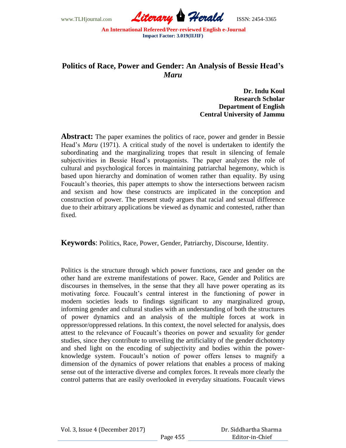

## **Politics of Race, Power and Gender: An Analysis of Bessie Head's**  *Maru*

**Dr. Indu Koul Research Scholar Department of English Central University of Jammu**

**Abstract:** The paper examines the politics of race, power and gender in Bessie Head"s *Maru* (1971). A critical study of the novel is undertaken to identify the subordinating and the marginalizing tropes that result in silencing of female subjectivities in Bessie Head's protagonists. The paper analyzes the role of cultural and psychological forces in maintaining patriarchal hegemony, which is based upon hierarchy and domination of women rather than equality. By using Foucault's theories, this paper attempts to show the intersections between racism and sexism and how these constructs are implicated in the conception and construction of power. The present study argues that racial and sexual difference due to their arbitrary applications be viewed as dynamic and contested, rather than fixed.

**Keywords**: Politics, Race, Power, Gender, Patriarchy, Discourse, Identity.

Politics is the structure through which power functions, race and gender on the other hand are extreme manifestations of power. Race, Gender and Politics are discourses in themselves, in the sense that they all have power operating as its motivating force. Foucault"s central interest in the functioning of power in modern societies leads to findings significant to any marginalized group, informing gender and cultural studies with an understanding of both the structures of power dynamics and an analysis of the multiple forces at work in oppressor/oppressed relations. In this context, the novel selected for analysis, does attest to the relevance of Foucault"s theories on power and sexuality for gender studies, since they contribute to unveiling the artificiality of the gender dichotomy and shed light on the encoding of subjectivity and bodies within the powerknowledge system. Foucault"s notion of power offers lenses to magnify a dimension of the dynamics of power relations that enables a process of making sense out of the interactive diverse and complex forces. It reveals more clearly the control patterns that are easily overlooked in everyday situations. Foucault views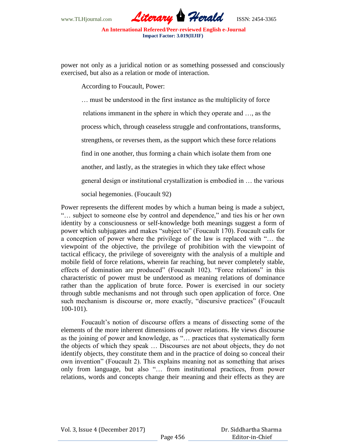

power not only as a juridical notion or as something possessed and consciously exercised, but also as a relation or mode of interaction.

According to Foucault, Power:

… must be understood in the first instance as the multiplicity of force relations immanent in the sphere in which they operate and …, as the process which, through ceaseless struggle and confrontations, transforms, strengthens, or reverses them, as the support which these force relations find in one another, thus forming a chain which isolate them from one another, and lastly, as the strategies in which they take effect whose general design or institutional crystallization is embodied in … the various social hegemonies. (Foucault 92)

Power represents the different modes by which a human being is made a subject, "… subject to someone else by control and dependence," and ties his or her own identity by a consciousness or self-knowledge both meanings suggest a form of power which subjugates and makes "subject to" (Foucault 170). Foucault calls for a conception of power where the privilege of the law is replaced with "… the viewpoint of the objective, the privilege of prohibition with the viewpoint of tactical efficacy, the privilege of sovereignty with the analysis of a multiple and mobile field of force relations, wherein far reaching, but never completely stable, effects of domination are produced" (Foucault 102). "Force relations" in this characteristic of power must be understood as meaning relations of dominance rather than the application of brute force. Power is exercised in our society through subtle mechanisms and not through such open application of force. One such mechanism is discourse or, more exactly, "discursive practices" (Foucault 100-101).

Foucault's notion of discourse offers a means of dissecting some of the elements of the more inherent dimensions of power relations. He views discourse as the joining of power and knowledge, as "… practices that systematically form the objects of which they speak … Discourses are not about objects, they do not identify objects, they constitute them and in the practice of doing so conceal their own invention" (Foucault 2). This explains meaning not as something that arises only from language, but also "… from institutional practices, from power relations, words and concepts change their meaning and their effects as they are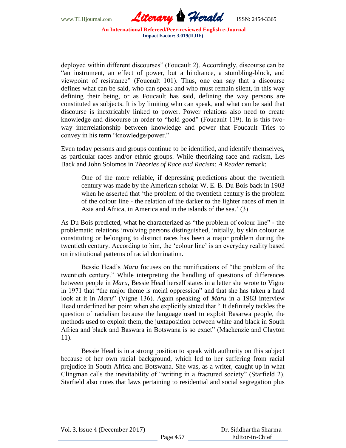

deployed within different discourses" (Foucault 2). Accordingly, discourse can be "an instrument, an effect of power, but a hindrance, a stumbling-block, and viewpoint of resistance" (Foucault 101). Thus, one can say that a discourse defines what can be said, who can speak and who must remain silent, in this way defining their being, or as Foucault has said, defining the way persons are constituted as subjects. It is by limiting who can speak, and what can be said that discourse is inextricably linked to power. Power relations also need to create knowledge and discourse in order to "hold good" (Foucault 119). In is this twoway interrelationship between knowledge and power that Foucault Tries to convey in his term "knowledge/power."

Even today persons and groups continue to be identified, and identify themselves, as particular races and/or ethnic groups. While theorizing race and racism, Les Back and John Solomos in *Theories of Race and Racism: A Reader* remark:

One of the more reliable, if depressing predictions about the twentieth century was made by the American scholar W. E. B. Du Bois back in 1903 when he asserted that "the problem of the twentieth century is the problem of the colour line - the relation of the darker to the lighter races of men in Asia and Africa, in America and in the islands of the sea.' (3)

As Du Bois predicted, what he characterized as "the problem of colour line" - the problematic relations involving persons distinguished, initially, by skin colour as constituting or belonging to distinct races has been a major problem during the twentieth century. According to him, the "colour line" is an everyday reality based on institutional patterns of racial domination.

Bessie Head"s *Maru* focuses on the ramifications of "the problem of the twentieth century." While interpreting the handling of questions of differences between people in *Maru*, Bessie Head herself states in a letter she wrote to Vigne in 1971 that "the major theme is racial oppression" and that she has taken a hard look at it in *Maru*" (Vigne 136). Again speaking of *Maru* in a 1983 interview Head underlined her point when she explicitly stated that " It definitely tackles the question of racialism because the language used to exploit Basarwa people, the methods used to exploit them, the juxtaposition between white and black in South Africa and black and Baswara in Botswana is so exact" (Mackenzie and Clayton 11).

Bessie Head is in a strong position to speak with authority on this subject because of her own racial background, which led to her suffering from racial prejudice in South Africa and Botswana. She was, as a writer, caught up in what Clingman calls the inevitability of "writing in a fractured society" (Starfield 2). Starfield also notes that laws pertaining to residential and social segregation plus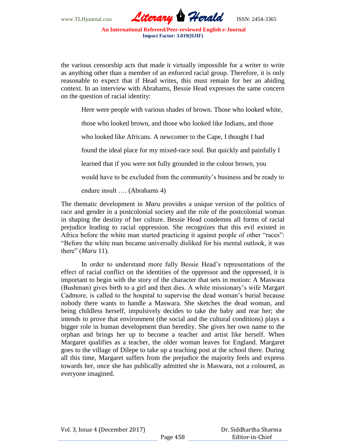

the various censorship acts that made it virtually impossible for a writer to write as anything other than a member of an enforced racial group. Therefore, it is only reasonable to expect that if Head writes, this must remain for her an abiding context. In an interview with Abrahams, Bessie Head expresses the same concern on the question of racial identity:

Here were people with various shades of brown. Those who looked white,

those who looked brown, and those who looked like Indians, and those

who looked like Africans. A newcomer to the Cape, I thought I had

found the ideal place for my mixed-race soul. But quickly and painfully I

learned that if you were not fully grounded in the colour brown, you

would have to be excluded from the community's business and be ready to

endure insult …. (Abrahams 4)

The thematic development in *Maru* provides a unique version of the politics of race and gender in a postcolonial society and the role of the postcolonial woman in shaping the destiny of her culture. Bessie Head condemns all forms of racial prejudice leading to racial oppression. She recognizes that this evil existed in Africa before the white man started practicing it against people of other "races": "Before the white man became universally disliked for his mental outlook, it was there" (*Maru* 11).

In order to understand more fully Bessie Head"s representations of the effect of racial conflict on the identities of the oppressor and the oppressed, it is important to begin with the story of the character that sets in motion: A Maswara (Bushman) gives birth to a girl and then dies. A white missionary"s wife Margart Cadmore, is called to the hospital to supervise the dead woman"s burial because nobody there wants to handle a Maswara. She sketches the dead woman, and being childless herself, impulsively decides to take the baby and rear her; she intends to prove that environment (the social and the cultural conditions) plays a bigger role in human development than heredity. She gives her own name to the orphan and brings her up to become a teacher and artist like herself. When Margaret qualifies as a teacher, the older woman leaves for England. Margaret goes to the village of Dilepe to take up a teaching post at the school there. During all this time, Margaret suffers from the prejudice the majority feels and express towards her, once she has publically admitted she is Maswara, not a coloured, as everyone imagined.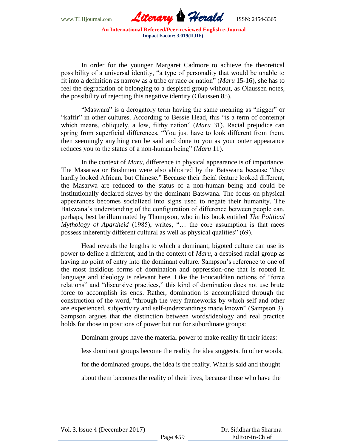

In order for the younger Margaret Cadmore to achieve the theoretical possibility of a universal identity, "a type of personality that would be unable to fit into a definition as narrow as a tribe or race or nation" (*Maru* 15-16), she has to feel the degradation of belonging to a despised group without, as Olaussen notes, the possibility of rejecting this negative identity (Olaussen 85).

"Maswara" is a derogatory term having the same meaning as "nigger" or "kaffir" in other cultures. According to Bessie Head, this "is a term of contempt which means, obliquely, a low, filthy nation" (*Maru* 31). Racial prejudice can spring from superficial differences, "You just have to look different from them, then seemingly anything can be said and done to you as your outer appearance reduces you to the status of a non-human being" (*Maru* 11).

In the context of *Maru*, difference in physical appearance is of importance. The Masarwa or Bushmen were also abhorred by the Batswana because "they hardly looked African, but Chinese." Because their facial feature looked different, the Masarwa are reduced to the status of a non-human being and could be institutionally declared slaves by the dominant Batswana. The focus on physical appearances becomes socialized into signs used to negate their humanity. The Batswana"s understanding of the configuration of difference between people can, perhaps, best be illuminated by Thompson, who in his book entitled *The Political Mythology of Apartheid* (1985), writes, "… the core assumption is that races possess inherently different cultural as well as physical qualities" (69).

Head reveals the lengths to which a dominant, bigoted culture can use its power to define a different, and in the context of *Maru*, a despised racial group as having no point of entry into the dominant culture. Sampson's reference to one of the most insidious forms of domination and oppression-one that is rooted in language and ideology is relevant here. Like the Foucauldian notions of "force relations" and "discursive practices," this kind of domination does not use brute force to accomplish its ends. Rather, domination is accomplished through the construction of the word, "through the very frameworks by which self and other are experienced, subjectivity and self-understandings made known" (Sampson 3). Sampson argues that the distinction between words/ideology and real practice holds for those in positions of power but not for subordinate groups:

Dominant groups have the material power to make reality fit their ideas:

less dominant groups become the reality the idea suggests. In other words,

for the dominated groups, the idea is the reality. What is said and thought

about them becomes the reality of their lives, because those who have the

Vol. 3, Issue 4 (December 2017)

 Dr. Siddhartha Sharma Editor-in-Chief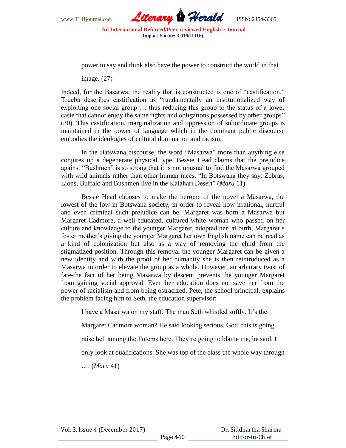

power to say and think also have the power to construct the world in that

image. (27)

Indeed, for the Basarwa, the reality that is constructed is one of "castification." Trueba describes castification as "fundamentally an institutionalized way of exploiting one social group … thus reducing this group to the status of a lower caste that cannot enjoy the same rights and obligations possessed by other groups" (30). This castification, marginalization and oppression of subordinate groups is maintained in the power of language which in the dominant public discourse embodies the ideologies of cultural domination and racism.

In the Batswana discourse, the word "Masarwa" more than anything else conjures up a degenerate physical type. Bessie Head claims that the prejudice against "Bushmen" is so strong that it is not unusual to find the Masarwa grouped with wild animals rather than other human races, "In Botswana they say: Zebras, Lions, Buffalo and Bushmen live in the Kalahari Desert" (*Maru* 11).

Bessie Head chooses to make the heroine of the novel a Masarwa, the lowest of the low in Botswana society, in order to reveal how irrational, hurtful and even criminal such prejudice can be. Margaret was born a Masarwa but Margaret Cadmore, a well-educated, cultured white woman who passed on her culture and knowledge to the younger Margaret, adopted her, at birth. Margaret"s foster mother"s giving the younger Margaret her own English name can be read as a kind of colonization but also as a way of removing the child from the stigmatized position. Through this removal the younger Margaret can be given a new identity and with the proof of her humanity she is then reintroduced as a Masarwa in order to elevate the group as a whole. However, an arbitrary twist of fate-the fact of her being Masarwa by descent prevents the younger Margaret from gaining social approval. Even her education does not save her from the power of racialism and from being ostracized. Pete, the school principal, explains the problem facing him to Seth, the education supervisor:

I have a Masarwa on my staff. The man Seth whistled softly. It"s the

Margaret Cadmore woman? He said looking serious. God, this is going

raise hell among the Totems here. They"re going to blame me, he said. I

only look at qualifications. She was top of the class the whole way through

…. (*Maru* 41)

Vol. 3, Issue 4 (December 2017)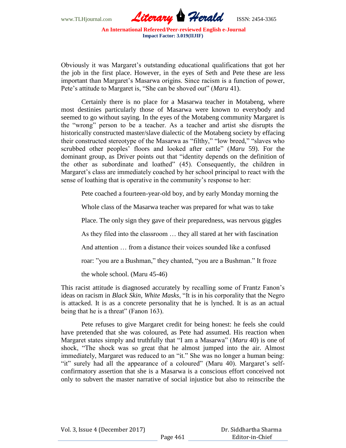

Obviously it was Margaret"s outstanding educational qualifications that got her the job in the first place. However, in the eyes of Seth and Pete these are less important than Margaret's Masarwa origins. Since racism is a function of power, Pete's attitude to Margaret is, "She can be shoved out" (*Maru* 41).

Certainly there is no place for a Masarwa teacher in Motabeng, where most destinies particularly those of Masarwa were known to everybody and seemed to go without saying. In the eyes of the Motabeng community Margaret is the "wrong" person to be a teacher. As a teacher and artist she disrupts the historically constructed master/slave dialectic of the Motabeng society by effacing their constructed stereotype of the Masarwa as "filthy," "low breed," "slaves who scrubbed other peoples" floors and looked after cattle" (*Maru* 59). For the dominant group, as Driver points out that "identity depends on the definition of the other as subordinate and loathed" (45). Consequently, the children in Margaret's class are immediately coached by her school principal to react with the sense of loathing that is operative in the community's response to her:

Pete coached a fourteen-year-old boy, and by early Monday morning the

Whole class of the Masarwa teacher was prepared for what was to take

Place. The only sign they gave of their preparedness, was nervous giggles

As they filed into the classroom … they all stared at her with fascination

And attention … from a distance their voices sounded like a confused

roar: "you are a Bushman," they chanted, "you are a Bushman." It froze

the whole school. (Maru 45-46)

This racist attitude is diagnosed accurately by recalling some of Frantz Fanon"s ideas on racism in *Black Skin, White Masks*, "It is in his corporality that the Negro is attacked. It is as a concrete personality that he is lynched. It is as an actual being that he is a threat" (Fanon 163).

Pete refuses to give Margaret credit for being honest: he feels she could have pretended that she was coloured, as Pete had assumed. His reaction when Margaret states simply and truthfully that "I am a Masarwa" (*Maru* 40) is one of shock, "The shock was so great that he almost jumped into the air. Almost immediately, Margaret was reduced to an "it." She was no longer a human being: "it" surely had all the appearance of a coloured" (Maru 40). Margaret's selfconfirmatory assertion that she is a Masarwa is a conscious effort conceived not only to subvert the master narrative of social injustice but also to reinscribe the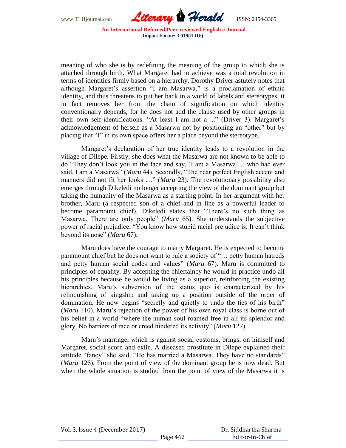

meaning of who she is by redefining the meaning of the group to which she is attached through birth. What Margaret had to achieve was a total revolution in terms of identities firmly based on a hierarchy. Dorothy Driver astutely notes that although Margaret's assertion "I am Masarwa," is a proclamation of ethnic identity, and thus threatens to put her back in a world of labels and stereotypes, it in fact removes her from the chain of signification on which identity conventionally depends, for he does not add the clause used by other groups in their own self-identifications. "At least I am not a ..." (Driver 3). Margaret"s acknowledgement of herself as a Masarwa not by positioning an "other" but by placing that "I" in its own space offers her a place beyond the stereotype.

Margaret's declaration of her true identity leads to a revolution in the village of Dilepe. Firstly, she does what the Masarwa are not known to be able to do "They don"t look you in the face and say, "I am a Masarwa"… who had ever said, I am a Masarwa" (*Maru* 44). Secondly, "The near perfect English accent and manners did not fit her looks …" (*Maru* 23). The revolutionary possibility also emerges through Dikeledi no longer accepting the view of the dominant group but taking the humanity of the Masarwa as a starting point. In her argument with her brother, Maru (a respected son of a chief and in line as a powerful leader to become paramount chief), Dikeledi states that "There's no such thing as Masarwa. There are only people" (*Maru* 65). She understands the subjective power of racial prejudice, "You know how stupid racial prejudice is. It can"t think beyond its nose" (*Maru* 67).

Maru does have the courage to marry Margaret. He is expected to become paramount chief but he does not want to rule a society of "… petty human hatreds and petty human social codes and values" (*Maru* 67). Maru is committed to principles of equality. By accepting the chieftaincy he would in practice undo all his principles because he would be living as a superior, reinforcing the existing hierarchies. Maru"s subversion of the status quo is characterized by his relinquishing of kingship and taking up a position outside of the order of domination. He now begins "secretly and quietly to undo the ties of his birth" (*Maru* 110). Maru"s rejection of the power of his own royal class is borne out of his belief in a world "where the human soul roamed free in all its splendor and glory. No barriers of race or creed hindered its activity" (*Maru* 127).

Maru"s marriage, which is against social customs, brings, on himself and Margaret, social scorn and exile. A diseased prostitute in Dilepe explained their attitude "fancy" she said. "He has married a Masarwa. They have no standards" (*Maru* 126). From the point of view of the dominant group he is now dead. But when the whole situation is studied from the point of view of the Masarwa it is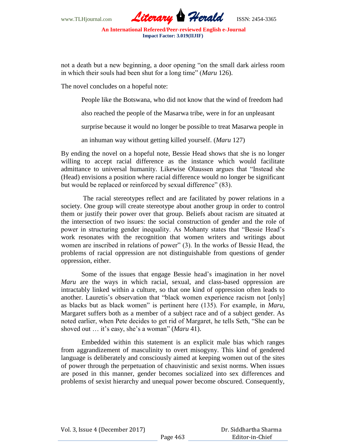

not a death but a new beginning, a door opening "on the small dark airless room in which their souls had been shut for a long time" (*Maru* 126).

The novel concludes on a hopeful note:

People like the Botswana, who did not know that the wind of freedom had

also reached the people of the Masarwa tribe, were in for an unpleasant

surprise because it would no longer be possible to treat Masarwa people in

an inhuman way without getting killed yourself. (*Maru* 127)

By ending the novel on a hopeful note, Bessie Head shows that she is no longer willing to accept racial difference as the instance which would facilitate admittance to universal humanity. Likewise Olaussen argues that "Instead she (Head) envisions a position where racial difference would no longer be significant but would be replaced or reinforced by sexual difference" (83).

The racial stereotypes reflect and are facilitated by power relations in a society. One group will create stereotype about another group in order to control them or justify their power over that group. Beliefs about racism are situated at the intersection of two issues: the social construction of gender and the role of power in structuring gender inequality. As Mohanty states that "Bessie Head"s work resonates with the recognition that women writers and writings about women are inscribed in relations of power" (3). In the works of Bessie Head, the problems of racial oppression are not distinguishable from questions of gender oppression, either.

Some of the issues that engage Bessie head"s imagination in her novel *Maru* are the ways in which racial, sexual, and class-based oppression are intractably linked within a culture, so that one kind of oppression often leads to another. Lauretis's observation that "black women experience racism not [only] as blacks but as black women" is pertinent here (135). For example, in *Maru*, Margaret suffers both as a member of a subject race and of a subject gender. As noted earlier, when Pete decides to get rid of Margaret, he tells Seth, "She can be shoved out ... it's easy, she's a woman" (*Maru* 41).

Embedded within this statement is an explicit male bias which ranges from aggrandizement of masculinity to overt misogyny. This kind of gendered language is deliberately and consciously aimed at keeping women out of the sites of power through the perpetuation of chauvinistic and sexist norms. When issues are posed in this manner, gender becomes socialized into sex differences and problems of sexist hierarchy and unequal power become obscured. Consequently,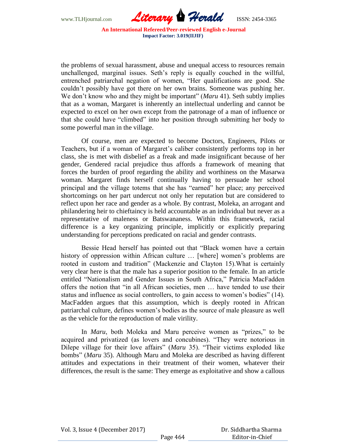

the problems of sexual harassment, abuse and unequal access to resources remain unchallenged, marginal issues. Seth's reply is equally couched in the willful, entrenched patriarchal negation of women, "Her qualifications are good. She couldn"t possibly have got there on her own brains. Someone was pushing her. We don"t know who and they might be important" (*Maru* 41). Seth subtly implies that as a woman, Margaret is inherently an intellectual underling and cannot be expected to excel on her own except from the patronage of a man of influence or that she could have "climbed" into her position through submitting her body to some powerful man in the village.

Of course, men are expected to become Doctors, Engineers, Pilots or Teachers, but if a woman of Margaret"s caliber consistently performs top in her class, she is met with disbelief as a freak and made insignificant because of her gender, Gendered racial prejudice thus affords a framework of meaning that forces the burden of proof regarding the ability and worthiness on the Masarwa woman. Margaret finds herself continually having to persuade her school principal and the village totems that she has "earned" her place; any perceived shortcomings on her part undercut not only her reputation but are considered to reflect upon her race and gender as a whole. By contrast, Moleka, an arrogant and philandering heir to chieftaincy is held accountable as an individual but never as a representative of maleness or Batswananess. Within this framework, racial difference is a key organizing principle, implicitly or explicitly preparing understanding for perceptions predicated on racial and gender contrasts.

Bessie Head herself has pointed out that "Black women have a certain history of oppression within African culture ... [where] women's problems are rooted in custom and tradition" (Mackenzie and Clayton 15).What is certainly very clear here is that the male has a superior position to the female. In an article entitled "Nationalism and Gender Issues in South Africa," Patricia MacFadden offers the notion that "in all African societies, men … have tended to use their status and influence as social controllers, to gain access to women"s bodies" (14). MacFadden argues that this assumption, which is deeply rooted in African patriarchal culture, defines women"s bodies as the source of male pleasure as well as the vehicle for the reproduction of male virility.

In *Maru*, both Moleka and Maru perceive women as "prizes," to be acquired and privatized (as lovers and concubines). "They were notorious in Dilepe village for their love affairs" (*Maru* 35). "Their victims exploded like bombs" (*Maru* 35). Although Maru and Moleka are described as having different attitudes and expectations in their treatment of their women, whatever their differences, the result is the same: They emerge as exploitative and show a callous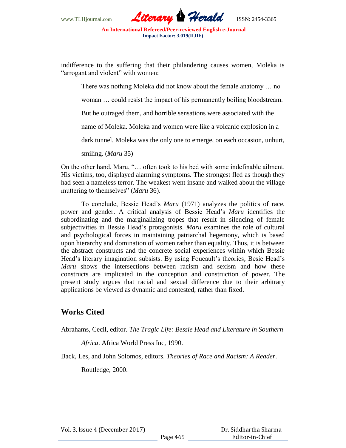

indifference to the suffering that their philandering causes women, Moleka is "arrogant and violent" with women:

There was nothing Moleka did not know about the female anatomy … no

woman … could resist the impact of his permanently boiling bloodstream.

But he outraged them, and horrible sensations were associated with the

name of Moleka. Moleka and women were like a volcanic explosion in a

dark tunnel. Moleka was the only one to emerge, on each occasion, unhurt,

smiling. (*Maru* 35)

On the other hand, Maru, "… often took to his bed with some indefinable ailment. His victims, too, displayed alarming symptoms. The strongest fled as though they had seen a nameless terror. The weakest went insane and walked about the village muttering to themselves" (*Maru* 36).

To conclude, Bessie Head"s *Maru* (1971) analyzes the politics of race, power and gender. A critical analysis of Bessie Head"s *Maru* identifies the subordinating and the marginalizing tropes that result in silencing of female subjectivities in Bessie Head"s protagonists. *Maru* examines the role of cultural and psychological forces in maintaining patriarchal hegemony, which is based upon hierarchy and domination of women rather than equality. Thus, it is between the abstract constructs and the concrete social experiences within which Bessie Head"s literary imagination subsists. By using Foucault"s theories, Besie Head"s *Maru* shows the intersections between racism and sexism and how these constructs are implicated in the conception and construction of power. The present study argues that racial and sexual difference due to their arbitrary applications be viewed as dynamic and contested, rather than fixed.

## **Works Cited**

Abrahams, Cecil, editor. *The Tragic Life: Bessie Head and Literature in Southern* 

*Africa*. Africa World Press Inc, 1990.

Back, Les, and John Solomos, editors. *Theories of Race and Racism: A Reader*.

Routledge, 2000.